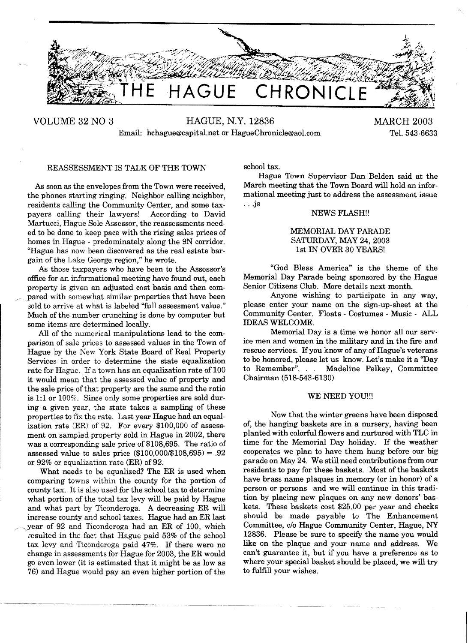

VOLUME 32 NO 3 HAGUE, N.Y. 12836 MARCH 2003 Email: hchague@capital.net or HagueChronicle@aol.com Tel. 543-6633

### REASSESSMENT IS TALK OF THE TOWN

As soon as the envelopes from the Town were received, the phones starting ringing. Neighbor calling neighbor, residents calling the Community Center, and some taxpayers calling their lawyers! According to David Martucci, Hague Sole Assessor, the reassessments needed to be done to keep pace with the rising sales prices of homes in Hague - predominately along the 9N corridor. "Hague has now been discovered as the real estate bargain of the Lake George region," he wrote.

As those taxpayers who have been to the Assessor's office for an informational meeting have found out, each property is given an adjusted cost basis and then compared with somewhat similar properties that have been sold to arrive at what is labeled "full assessment value." Much of the number crunching is done by computer but some items are determined locally.

All of the numerical manipulations lead to the comparison of sale prices to assessed values in the Town of Hague by the New York State Board of Real Property Services in order to determine the state equalization rate for Hague. If a town has an equalization rate of 100 it would mean that the assessed value of property and the sale price of that property are the same and the ratio is 1:1 or 100%. Since only some properties are sold during a given year, the state takes a sampling of these properties to fix the rate. Last year Hague had an equalization rate (ER) of 92. For every \$100,000 of assessment on sampled property sold in Hague in 2002, there was a corresponding sale price of \$108,695. The ratio of assessed value to sales price  $(\$100,000/\$108,695) = .92$ or  $92\%$  or equalization rate (ER) of  $92$ .

What needs to be equalized? The ER is used when comparing towns within the county for the portion of county tax. It is also used for the school tax to determine what portion of the total tax levy will be paid by Hague and what part by Ticonderoga. A decreasing ER will increase county and school taxes. Hague had an ER last year of 92 and Ticonderoga had an ER of 100, which resulted in the fact that Hague paid 53% of the school tax levy and Ticonderoga paid 47%. If there were no change in assessments for Hague for 2003, the ER would go even lower (it is estimated that it might be as low as 76) and Hague would pay an even higher portion of the

school tax.

Hague Town Supervisor Dan Belden said at the March meeting that the Town Board will hold an informational meeting just to address the assessment issue ...js

NEWS FLASH!!

## MEMORIAL DAY PARADE SATURDAY, MAY 24, 2003 1st IN OVER 30 YEARS!

"God Bless America" is the theme of the Memorial Day Parade being sponsored by the Hague Senior Citizens Club. More details next month.

Anyone wishing to participate in any way, please enter your name on the sign-up-sheet at the Community Center. Floats - Costumes - Music - ALL IDEAS WELCOME.

Memorial Day is a time we honor all our service men and women in the military and in the fire and rescue services. Ifyou know of any of Hague's veterans to be honored, please let us know. Let's make it a "Day to Remember". .. Madeline Pelkey, Committee Chairman (518-543·6130)

#### WE NEED YOU!!!

Now that the winter greens have been disposed of, the hanging baskets are in a nursery, having been planted with colorful flowers and nurtured with TLC in time for the Memorial Day holiday. If the weather cooperates we plan to have them hung before our big parade on May 24. We still need contributions from our residents to pay for these baskets. Most of the baskets have brass name plaques in memory (or in honor) of a person or persons and we will continue in this tradition by placing new plaques on any new donors' baskets. These baskets cost \$25.00 per year and checks should be made payable to The Enhancement Committee, c/o Hague Community Center, Hague, NY 12836. Please be sure to specify the name you would like on the plaque and your name and address. We can't guarantee it, but if you have a preference as to where your special basket should be placed, we will try to fulfill your wishes.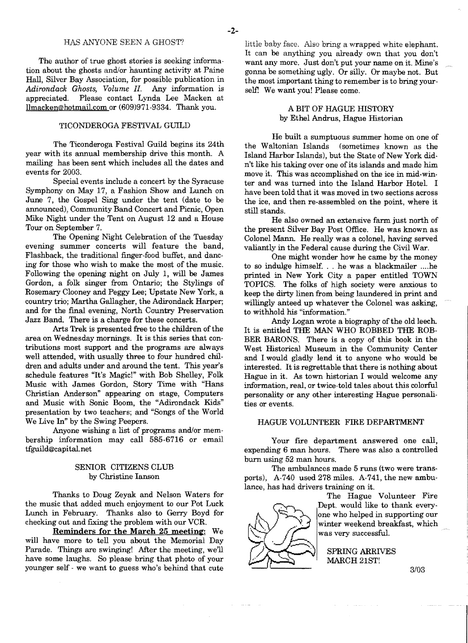#### HAS ANYONE SEEN A GHOST?

The author of true ghost stories is seeking information about the ghosts and/or haunting activity at Paine Hall, Silver Bay Association, for possible publication in *Adirondack Ghosts, Volume II.* Any information is appreciated. Please contact Lynda Lee Macken at llmacken@hotmail.com or (609)971-9334\_ Thank you.

#### TICONDEROGA FESTIVAL GUILD

The Ticonderoga Festival Guild begins its 24th year with its annual membership drive this month. A mailing has been sent which includes all the dates and events for 2003.

Special events include a concert by the Syracuse Symphony on May 17, a Fashion Show and Lunch on June 7, the Gospel Sing under the tent (date to be announced), Community Band Concert and Picnic, Open Mike Night under the Tent on August 12 and a House Tour on September 7.

The Opening Night Celebration of the Tuesday evening summer concerts will feature the band, Flashback, the traditional finger-food buffet, and dancing for those who wish to make the most of the music. Following the opening night on July 1, will be James Gordon, a folk singer from Ontario; the Stylings of Rosemary Clooney and Peggy Lee; Upstate New York, a country trio; Martha Gallagher, the Adirondack Harper; and for the final evening, North Country Preservation Jazz Band. There is a charge for these concerts\_

Arts Trek is presented free to the children of the area on Wednesday mornings. It is this series that contributions most support and the programs are always well attended, with usually three to four hundred children and adults under and around the tent. This year's schedule features "It's Magic!" with Bob Shelley, Folk Music with James Gordon, Story Time with "Hans Christian Anderson" appearing on stage, Computers and Music with Sonic Boom, the "Adirondack Kids" presentation by two teachers; and "Songs of the World We Live In" by the Swing Peepers.

Anyone wishing a list of programs and/or membership information may call 585-6716 or email tfguild@capital.net

## SENIOR CITIZENS CLUB by Christine Ianson

Thanks to Doug Zeyak and Nelson Waters for the music that added much enjoyment to our Pot Luck Lunch in February. Thanks also to Gerry Boyd for checking out and fixing the problem with our VCR.

Reminders for the March 25 meeting: We will have more to tell you about the Memorial Day Parade. Things are swinging! After the meeting, we'll have some laughs. So please bring that photo of your younger self - we want to guess who's behind that cute little baby face. Also bring a wrapped white elephant. It can be anything you already own that you don't want any more. Just don't put your name on it. Mine's gonna be something ugly. Or silly. Or maybe not. But the most important thing to remember is to bring yourself! We want you! Please come.

# A BIT OF HAGUE HISTORY by Ethel Andrus, Hague Historian

He built a sumptuous summer home on one of the Waltonian Islands (sometimes known as the Island Harbor Islands), but the State of New York didn't like his taking over one of its islands and made him move it. This was accomplished on the ice in mid-win· ter and was turned into the Island Harbor HoteL I have been told that it was moved in two sections across the ice, and then re-assembled on the point, where it still stands.

He also owned an extensive farm just north of the present Silver Bay Post Office. He was known as Colonel Mann. He really was a colonel, having served valiantly in the Federal cause during the Civil War.

One might wonder how he came by the money to so indulge himself... he was a blackmailer .... he printed in New York City a paper entitled TOWN TOPICS. The folks of high society were anxious to keep the dirty linen from being laundered in print and willingly anteed up whatever the Colonel was asking, to withhold his "information."

Andy Logan wrote a biography of the old leech. It is entitled THE MAN WHO ROBBED THE ROB· BER BARONS. There is a copy of this book in the West Historical Museum in the Community Center and I would gladly lend it to anyone who would be interested. Itis regrettable that there is nothing about Hague in it. As town historian I would welcome any information, real, or twice-told tales about this colorful personality or any other interesting Hague personalities or events.

#### HAGUE VOLUNTEER FIRE DEPARTMENT

Your fire department answered one call, expending 6 man hours. There was also a controlled burn using 52 man hours.

The ambulances made 5 runs (two were transports), A-740 used 278 miles. A-741, the new ambulance, has had drivers training on it.



 $\sim$   $\sim$ 

 $\sim$ 

The Hague Volunteer Fire Dept. would like to thank everyone who helped in supporting our winter weekend breakfast, which was very successful.

SPRING ARRIVES MARCH 21ST!

3/03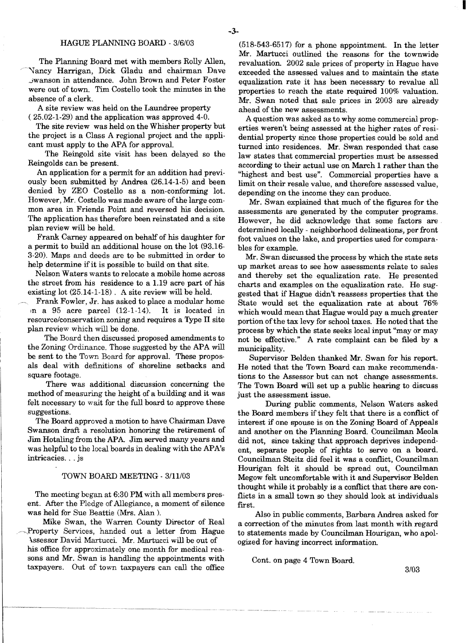#### HAGUE PLANNING BOARD - 3/6/03

The Planning Board met with members Rolly Allen, Vancy Harrigan, Dick Gladu and chairman Dave Jwanson in attendance. John Brown and Peter Foster were out of town. Tim Costello took the minutes in the absence of a clerk.

A site review was held on the Laundree property (25.02-1-29) and the application was approved 4-0.

The site review was held on the Whisher property but the project is a Class A regional project and the applicant must apply to the APA for approval.

The Reingold site visit has been delayed so the Reingolds can be present.

An application for a permit for an addition had previously been submitted by Andrea (26.14-1-5) and been denied by ZEO Costello as a non-conforming lot. However, Mr. Costello was made aware of the large common area in Friends Point and reversed his decision. The application has therefore been reinstated and a site plan review will be held.

Frank Carney appeared on behalf of his daughter for a permit to build an additional house on the lot (93.16 3-20). Maps and deeds are to be submitted in order to help determine if it is possible to build on that site.

Nelson Waters wants to relocate a mobile home across the street from his residence to a 1.19 acre part of his existing lot (25.14-1-18). A site review will be held.

Frank Fowler, Jr. has asked to place a modular home<br>a 95 acre parcel  $(12-1-14)$ . It is located in In a 95 acre parcel  $(12-1-14)$ .  $resource/conservation$  zoning and requires a Type  $\Pi$  site plan review which will be done.

The Board then discussed proposed amendments to the Zoning Ordinance. Those suggested by the APA will be sent to the Town Board for approval. These proposals deal with definitions of shoreline setbacks and square footage.

There was additional discussion concerning the method of measuring the height of a building and it was felt necessary to wait for the full board to approve these suggestions.

The Board approved a motion to have Chairman Dave Swanson draft a resolution honoring the retirement of Jim Hotaling from the APA Jim served many years and was helpful to the local boards in dealing with the APA's intricacies... js

#### TOWN BOARD MEETING - 3/11/03

The meeting began at 6:30 PM with all members present. After the Pledge of Allegiance, a moment of silence was held for Sue Beattie (Mrs. Alan ).

Mike Swan, the Warren County Director of Real Property Services, handed out a letter from Hague \.ssessor David Martucci. Mr. Martucci will be out of his office for approximately one month for medical reasons and Mr. Swan is handling the appointments with taxpayers. Out of town taxpayers can call the office

(518-543-6517) for a phone appointment. In the letter Mr. Martucci outlined the reasons for the townwide revaluation. 2002 sale prices of property in Hague have exceeded the assessed values and to maintain the state equalization rate it has been necessary to revalue all properties to reach the state required 100% valuation. Mr. Swan noted that sale prices in 2003 are already ahead of the new assessments.

I

A question was asked as to why some commercial properties weren't being assessed at the higher rates of residential property since those properties could be sold and turned into residences. Mr. Swan responded that case law states that commercial properties must be assessed according to their actual use on March 1 rather than the "highest and best use". Commercial properties have a limit on their resale value, and therefore assessed value, depending on the income they can produce.

Mr. Swan explained that much of the figures for the assessments are generated by the computer programs. However, he did acknowledge that some factors are determined locally - neighborhood delineations, per front foot values on the lake, and properties used for comparables for example.

Mr. Swan discussed the process by which the state sets up market areas to see how assessments relate to sales and thereby set the equalization rate. He presented charts and examples on the equalization rate. He suggested that if Hague didn't reassess properties that the State would set the equalization rate at about 76% which would mean that Hague would pay a much greater portion of the tax levy for school taxes. He noted that the process by which the state seeks local input "mayor may not be effective." A rate complaint can be filed by a municipality.

Supervisor Belden thanked Mr. Swan for his report. He noted that the Town Board can make recommendations to the Assessor but can not change assessments. The Town Board will set up a public hearing to discuss just the assessment issue.

During public comments, Nelson Waters asked the Board members if they felt that there is a conflict of interest if one spouse is on the Zoning Board of Appeals and another on the Planning Board. Councilman Meola did not, since taking that approach deprives independent, separate people of rights to serve on a board. Councilman Steitz did feel it was a conflict, Councilman Hourigan felt it should be spread out, Councilman Megow felt uncomfortable with it and Supervisor Belden thought while it probably is a conflict that there are conflicts in a small town so they should look at individuals first.

Also in public comments, Barbara Andrea asked for a correction of the minutes from last month with regard to statements made by Councilman Hourigan, who apologized for having incorrect information.

Cont. on page 4 Town Board.

3/03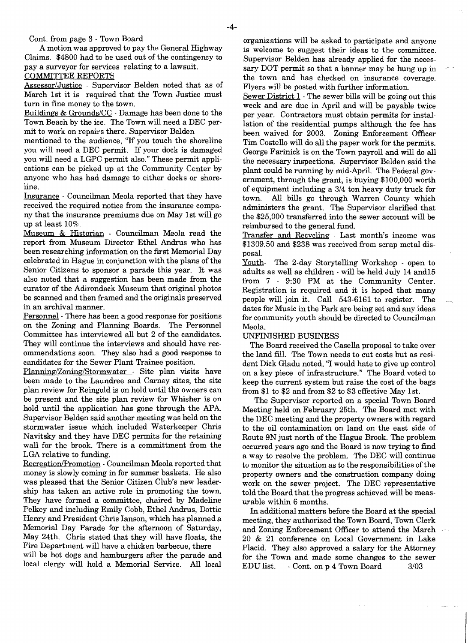Cont. from page 3 - Town Board

A motion was approved to pay the General Highway Claims. \$4800 had to be used out of the contingency to pay a surveyor for services relating to a lawsuit. COMMITTEE REPORTS

Assessor/Justice - Supervisor Belden noted that as of March 1st it is required that the Town Justice must turn in fine money to the town.

Buildings & Grounds/CC - Damage has been done to the Town Beach by the ice. The Town will need a DEC permit to work on repairs there. Supervisor Belden

mentioned to the audience, "If you touch the shoreline you will need a DEC permit. If your dock is damaged you will need a LGPC permit also." These permit applications can be picked up at the Community Center by anyone who has had damage to either docks or shoreline.

Insurance . Councilman Meola reported that they have received the required notice from the insurance company that the insurance premiums due on May 1st will go up at least 10%.

Museum & Historian - Councilman Meola read the report from Museum Director Ethel Andrus who has been researching information on the first Memorial Day celebrated in Hague in conjunction with the plans of the Senior Citizens to sponsor a parade this year. It was also noted that a suggestion has been made from the curator of the Adirondack Museum that original photos be scanned and then framed and the originals preserved in an archival manner.

Personnel - There has been a good response for positions on the Zoning and Planning Boards. The Personnel Committee has interviewed all but 2 of the candidates. They will continue the interviews and should have recommendations soon. They also had a good response to candidates for the Sewer Plant Trainee position.

Planning/Zoning/Stormwater - Site plan visits have been made to the Laundree and Carney sites; the site plan review for Reingold is on hold until the owners can be present and the site plan review for Whisher is on hold until the application has gone through the APA Supervisor Belden said another meeting was held on the stormwater issue which included Waterkeeper Chris Navitsky and they have DEC permits for the retaining wall for the brook. There is a committment from the LGA relative to funding.

Recreation/Promotion - Councilman Meola reported that money is slowly coming in for summer baskets. He also was pleased that the Senior Citizen Club's new leadership has taken an active role in promoting the town. They have formed a committee, chaired by Madeline Pelkey and including Emily Cobb, Ethel Andrus, Dottie Henry and President Chris Ianson, which has planned a Memorial Day Parade for the afternoon of Saturday, May 24th. Chris stated that they will have floats, the Fire Department will have a chicken barbecue, there

will be hot dogs and hamburgers after the parade and local clergy will hold a Memorial Service. All local organizations will be asked to participate and anyone is welcome to suggest their ideas to the committee. Supervisor Belden has already applied for the necessary DOT permit so that a banner may be hung up in the town and has checked on insurance coverage. Flyers will be posted with further information.

Sewer District 1 . The sewer bills will be going out this week and are due in April and will be payable twice per year. Contractors must obtain permits for installation of the residential pumps although the fee has been waived for 2003. Zoning Enforcement Officer Tim Costello will do all the paper work for the permits. George Farinick is on the Town payroll and will do all the necessary inspections. Supervisor Belden said the plant could be running by mid·April. The Federal government, through the grant, is buying \$100,000 worth of equipment including a 3/4 ton heavy duty truck for town. All bills go through Warren County which administers the grant. The Supervisor clarified that the \$25,000 transferred into the sewer account will be reimbursed to the general fund.

Transfer and Recycling· Last month's income was \$1309.50 and \$238 was received from scrap metal disposal.

Youth- The 2-day Storytelling Workshop - open to adults as well as children· will be held July 14 and15 from 7 - 9:30 PM at the Community Center. Registration is required and it is hoped that many people will join it. Call 543-6161 to register. The dates for Music in the Park are being set and any ideas for community youth should be directed to Councilman Meola.

## UNFIN1SHED BUSINESS

The Board received the Casella proposal to take over the land fill. The Town needs to cut costs but as resident Dick Gladu noted, "I would hate to give up control on a key piece of infrastructure." The Board voted to keep the current system but raise the cost of the bags from \$1 to \$2 and from \$2 to \$3 effective May 1st.

The Supervisor reported on a special Town Board Meeting held on February 25th. The Board met with the DEC meeting and the property owners with regard to the oil contamination on land on the east side of Route 9N just north of the Hague Brook. The problem occurred years ago and the Board is now trying to find a way to resolve the problem. The DEC will continue to monitor the situation as to the responsibilities of the property owners and the construction company doing work on the sewer project. The DEC representative told the Board that the progress achieved will be measurable within 6 months.

In additional matters before the Board at the special meeting, they authorized the Town Board, Town Clerk and Zoning Enforcement Officer to attend the March 20 & 21 conference on Local Government in Lake Placid. They also approved a salary for the Attorney for the Town and made some changes to the sewer EDU list. Cont. on p 4 Town Board 3/03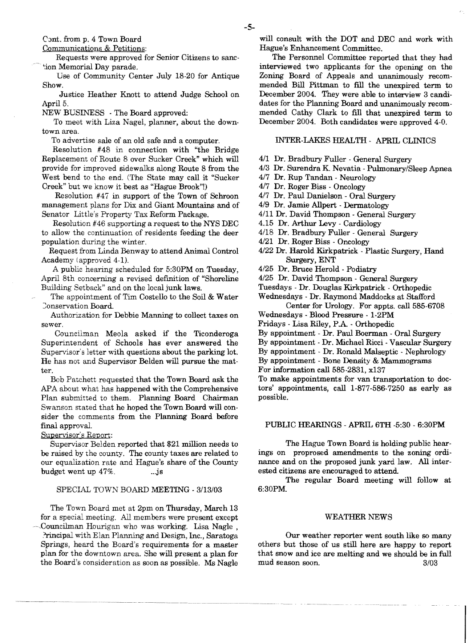Cont. from p. 4 Town Board

Communications & Petitions:

Requests were approved for Senior Citizens to sane ~ion Memorial Day parade.

Use of Community Center July 18-20 for Antique Show.

Justice Heather Knott to attend Judge School on April 5.

NEW BUSINESS . The Board approved:

To meet with Liza Nagel, planner, about the downtown area.

To advertise sale of an old safe and a computer.

Resolution #48 in connection with "the Bridge Replacement of Route 8 over Sucker Creek" which will provide for improved sidewalks along Route 8 from the West bend to the end. (The State may call it "Sucker Creek" but we know it best as "Hague Brook"!)

Resolution #47 in support of the Town of Schroon management plans for Dix and Giant Mountains and of Senator Little's Property Tax Reform Package.

Resolution #46 supporting a request to the NYS DEC to allow the continuation of residents feeding the deer population during the winter.

Request from Linda Benway to attend Animal Control Academy (approved 4-1).

A public hearing scheduled for 5:30PM on Tuesday, April 8th concerning a revised definition of "Shoreline Building Setback" and on the local junk laws.

The appointment of Tim Costello to the Soil & Water Conservation Board.

Authorization for Debbie Manning to collect taxes on sewer.

Councilman Meola asked if the Ticonderoga Superintendent of Schools has ever answered the Supervisor's letter with questions about the parking lot. He has not and Supervisor Belden will pursue the matter.

Bob Patchett requested that the Town Board ask the APA about what has happened with the Comprehensive Plan submitted to them. Planning Board Chairman Swanson stated that he hoped the Town Board will consider the comments from the Planning Board before final approval.

Supervisor's Report:

Supervisor Belden reported that \$21 million needs to be raised by the county. The county taxes are related to our equalization rate and Hague's share of the County budget went up  $47\%$ . ... js

# SPECIAL TOWN BOARD MEETING - 3/13/03

The Town Board met at 2pm on Thursday, March 13 for a special meeting. All members were present except Councilman Hourigan who was working. Lisa Nagle, Principal with Elan Planning and Design, Inc., Saratoga Springs, heard the Board's requirements for a master plan for the downtown area. She will present a plan for the Board's consideration as soon as possible. Ms Nagle

will consult with the DOT and DEC and work with Hague's Enhancement Committee.

The Personnel Committee reported that they had interviewed two applicants for the opening on the Zoning Board of Appeals and unanimously recommended Bill Pittman to fill the unexpired term to December 2004. They were able to interview 3 candidates for the Planning Board and unanimously recommended Cathy Clark to fill that unexpired term to December 2004. Both candidates were approved 4-0.

# INTER-LAKES HEALTH - APRIL CLINICS

- 411 Dr. Bradbury Fuller General Surgery
- 413 Dr. Surendra K Nevatia Pulmonary/Sleep Apnea
- 4/7 Dr. Rup Tandan Neurology
- 417 Dr. Roger Biss Oncology
- 4/7 Dr. Paul Danielson Oral Surgery
- 419 Dr. Jamie Allpert Dermatology
- 4/11 Dr. David Thompson General Surgery
- 4.15 Dr. Arthur Levy Cardiology
- 4/18 Dr. Bradbury Fuller General Surgery
- *4121* Dr. Roger Biss Oncology
- 4/22 Dr. Harold Kirkpatrick Plastic Surgery, Hand Surgery, ENT
- 4/25 Dr. Bruce Herold Podiatry

*4125* Dr. David Thompson - General Surgery

Tuesdays - Dr. Douglas Kirkpatrick - Orthopedic

Wednesdays - Dr. Raymond Maddocks at Stafford Center for Urology. For appts. call 585-6708

Wednesdays - Blood Pressure - 1·2PM

Fridays - Lisa Riley, P.A - Orthopedic

By appointment - Dr. Paul Boerman - Oral Surgery

By appointment· Dr. Michael Ricci - Vascular Surgery

By appointment - Dr. Ronald Malseptic . Nephrology

By appointment - Bone Density & Mammograms

For information call 585-2831, x137

To make appointments for van transportation to doctors' appointments, call 1·877·586·7250 as early as possible.

### PUBLIC HEARINGS - APRIL 6TH -5:30 - 6:30PM

The Hague Town Board is holding public hearings on proprosed amendments to the zoning ordinance and on the proposed junk yard law. All interested citizens are encouraged to attend.

The regular Board meeting will follow at 6:30PM.

#### WEATHER NEWS

Our weather reporter went south like so many others but those of us still here are happy to report that snow and ice are melting and we should be in full mud season soon. 3/03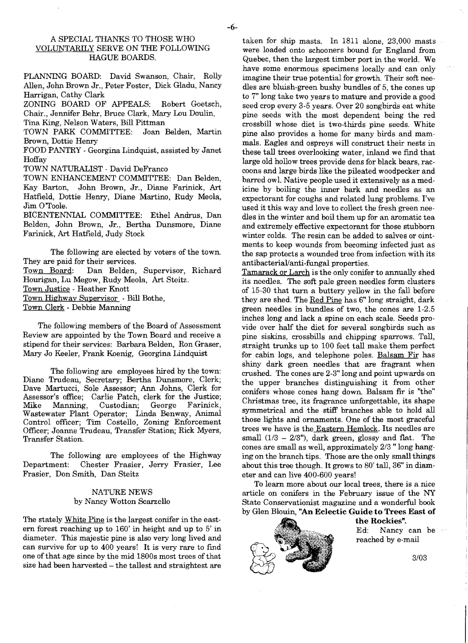## A SPECIAL THANKS TO THOSE WHO VOLUNTARILY SERVE ON THE FOLLOWING HAGUE BOARDS.

PLANNING BOARD: David Swanson, Chair, Rolly Allen, John Brown Jr., Peter Foster, Dick Gladu, Nancy Harrigan, Cathy Clark

ZONING BOARD OF APPEALS: Robert Goetsch, Chair., Jennifer Behr, Bruce Clark, Mary Lou Doulin,

Tina King, Nelson Waters, Bill Pittman TOWN PARK COMMITTEE: Brown, Dottie Henry

FOOD PANTRY - Georgina Lindquist, assisted by Janet Hoffay

TOWN NATURALIST - David DeFranco

TOWN ENHANCEMENT COMMITTEE: Dan Belden, Kay Barton, John Brown, Jr., Diane Farinick, Art Hatfield, Dottie Henry, Diane Martino, Rudy Meola, Jim O'Toole.

BICENTENNIAL COMMITTEE: Ethel Andrus, Dan Belden, John Brown, Jr., Bertha Dunsmore, Diane Farinick, Art Hatfield, Judy Stock

The following are elected by voters of the town. They are paid for their services.<br>Town Board: Dan Belden. Dan Belden, Supervisor, Richard Hourigan, Lu Megow, Rudy Meola, Art Steitz. Town Justice - Heather Knott Town Highway Supervisor - Bill Bothe, Town Clerk - Debbie Manning

The following members of the Board of Assessment Review are appointed by the Town Board and receive a stipend for their services: Barbara Belden, Ron Graser, Mary Jo Keeler, Frank Koenig, Georgina Lindquist

The following are employees hired by the town: Diane Trudeau, Secretary; Bertha Dunsmore, Clerk; Dave Martucci, Sole Assessor; Ann Johns, Clerk for Assessor's office; Carlie Patch, clerk for the Justice; Mike Manning, Custodian; Wastewater Plant Operator; Linda Benway, Animal Control officer; Tim Costello, Zoning Enforcement Officer; Joanne Trudeau, Transfer Station; Rick Myers, Transfer Station.

The following are employees of the Highway Department: Chester Frasier, Jerry Frasier, Lee Frasier, Don Smith, Dan Steitz

## NATIJRE NEWS by Nancy Wotton Scarzello

The stately White Pine is the largest conifer in the eastern forest reaching up to 160' in height and up to 5' in diameter. This majestic pine is also very long lived and can survive for up to 400 years! It is very rare to find one of that age since by the mid 1800s most trees of that size had been harvested - the tallest and straightest are taken for ship masts. In 1811 alone, 23,000 masts were loaded onto schooners bound for England from Quebec, then the largest timber port in the world. We have some enormous specimens locally and can only imagine their true potential for growth. Their soft needles are bluish-green bushy bundles of 5, the cones up to 7" long take two years to mature and provide a good seed crop every 3-5 years. Over 20 songbirds eat white pine seeds with the most dependent being the red crossbill whose diet is two-thirds pine seeds. White pine also provides a home for many birds and mammals. Eagles and ospreys will construct their nests in these tall trees overlooking water, inland we find that large old hollow trees provide dens for black bears, raccoons and large birds like the pileated woodpecker and barred ow1. Native people used it extensively as a medicine by boiling the inner bark and needles as an expectorant for coughs and related lung problems. I've used it this way and love to collect the fresh green needles in the winter and boil them up for an aromatic tea and extremely effective expectorant for those stubborn winter colds. The resin can be added to salves or ointments to keep wounds from becoming infected just as the sap protects a wounded tree from infection with its antibacterial/anti-fungal properties.

Tamarack or Larch is the only conifer to annually shed its needles. The soft pale green needles form clusters of 15-30 that turn a buttery yellow in the fall before they are shed. The Red Pine has 6" long straight, dark green needles in bundles of two, the cones are 1-2.5 inches long and lack a spine on each scale. Seeds provide over half the diet for several songbirds such as pine siskins, crossbills and chipping sparrows. Tall, straight trunks up to 100 feet tall make them perfect for cabin logs, and telephone poles. Balsam Fir has shiny dark green needles that are fragrant when crushed. The cones are 2-3" long and point upwards on the upper branches distinguishing it from other conifers whose cones hang down. Balsam fir is "the" Christmas tree, its fragrance unforgettable, its shape symmetrical and the stiff branches able to hold all those lights and ornaments. One of the most graceful trees we have is the Eastern Hemlock. Its needles are small  $(1/3 - 2/3)$ , dark green, glossy and flat. The cones are small as well, approximately *2/3"* long hanging on the branch tips. Those are the only small things about this tree though. It grows to 80' tall, 36" in diameter and can live 400-600 years!

To learn more about our local trees, there is a nice article on conifers in the February issue of the NY State Conservationist magazine and a wonderful book by Glen Blouin, "An Eclectic Guide to Trees East of



reached by e-mail

Ed: Nancy can be

the Rockies".

3/03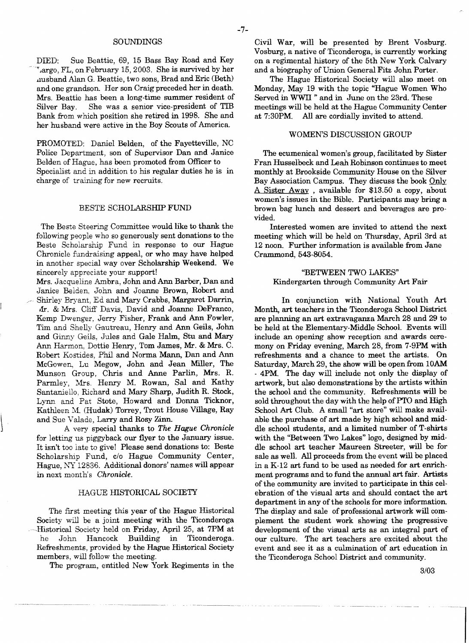#### SOUNDINGS

DIED: Sue Beattie, 69, 15 Bass Bay Road and Key  $\tau_{\text{argo}}$ , FL, on February 15, 2003. She is survived by her llusband Alan G. Beattie, two sons, Brad and Eric (Beth) and one grandson. Her son Craig preceded her in death. Mrs. Beattie has been a long-time summer resident of Silver Bay. She was a senior vice-president of TIB Bank from which position she retired in 1998. She and her husband were active in the Boy Scouts of America.

PROMOTED: Daniel Belden, of the Fayetteville, NC Police Department, son of Supervisor Dan and Janice Belden of Hague, has been promoted from Officer to Specialist and in addition to his regular duties he is in charge of training for new recruits.

#### BESTE SCHOLARSHIP FUND

'The Beste Steering Committee would like to thank the following people who so generously sent donations to the Beste Scholarship Fund in response to our Hague Chronicle fundraising appeal, or who may have helped in another special way over Scholarship Weekend. We sincerely appreciate your support!

Mrs. Jacqueline Ambra, John and Ann Barber, Dan and Janice Belden. John and Joanne Brown, Robert and Shirley Bryant, Ed and Mary Crabbs, Margaret Darrin, vir. & Mrs. Cliff Davis, David and Joanne DeFranco, Kemp Dwenger, Jerry Fisher, Frank and Ann Fowler, Tim and Shelly Gautreau, Henry and Ann Geils, John and Ginny Geils, Jules and Gale Halm, Stu and Mary Ann Harmon, Dottie Henry, Tom James, Mr. & Mrs. C. Robert Kostides, Phil and Norma Mann, Dan and Ann McGowen, Lu Megow, John and Jean Miller, The Munson Group, Chris and Anne Parlin, Mrs. R. Parmley, Mrs. Henry M. Rowan, Sal and Kathy Santaniello, Richard and Mary Sharp, Judith R. Stock, Lynn and Pat Stote, Howard and Donna Ticknor, Kathleen M. (Hudak) Torrey, Trout House Village, Ray and Sue Valade, Larry and Rosy Zinn.

A very special thanks to *The Hague Chronicle*  for letting us piggyback our flyer to the January issue. It isn't too late to give! Please send donations to: Beste Scholarship Fund, c/o Hague Community Center, Hague, NY 12836. Additional donors' names will appear in next month's *Chronicle.* 

#### HAGUE HISTORICAL SOCIETY

The first meeting this year of the Hague Historical Society will be a joint meeting with the Ticonderoga Historical Society held on Friday, April 25, at 7PM at he John Hancock Building in Ticonderoga. Refreshments, provided by the Hague Historical Society members, will follow the meeting.

The program, entitled New York Regiments in the

Civil War, will be presented by Brent Vosburg. Vosburg, a native of Ticonderoga, is currently working on a regimental history of the 5th New York Calvary and a biography of Union General Fitz John Porter.

The Hague Historical Society will also meet on Monday, May 19 with the topic "Hague Women Who Served in WWII" and in June on the 23rd. These meetings will be held at the Hague Community Center<br>at 7:30PM All are cordially invited to attend. All are cordially invited to attend.

#### WOMEN'S DISCUSSION GROUP

The ecumenical women's group, facilitated by Sister Fran Husselbeck and Leah Robinson continues to meet monthly at Brookside Community House on the Silver Bay Association Campus. They discuss the book Only A Sister Away, available for \$13.50 a copy, about women's issues in the Bible. Participants may bring a brown bag lunch and dessert and beverages are provided.

Interested women are invited to attend the next meeting which will be held on Thursday, April 3rd at 12 noon. Further information is available from Jane Crammond, 543-8054.

## "BETWEEN TWO LAKES" Kindergarten through Community Art Fair

In conjunction with National Youth Art Month, art teachers in the Ticonderoga School District are planning an art extravaganza March 28 and 29 to be held at the Elementary-Middle School. Events will include an opening show reception and awards ceremony on Friday evening, March 28, from 7·9PM with refreshments and a chance to meet the artists. On Saturday, March 29, the show will be open from lOAM - 4PM The day will include not only the display of artwork, but also demonstrations by the artists within the school and the community. Refreshments will be sold throughout the day with the help of PTO and High School Art Club. A small "art store" will make available the purchase of art made by high school and mid· dle school students, and a limited number of T-shirts with the "Between Two Lakes" logo, designed by middle school art teacher Maureen Streeter, will be for sale as well. All proceeds from the event will be placed in a K-12 art fund to be used as needed for art enrichment programs and to fund the annual art fair. Artists of the community are invited to participate in this celebration of the visual arts and should contact the art department in any of the schools for more information. The display and sale of professional artwork will complement the student work showing the progressive development of the visual arts as an integral part of our culture. The art teachers are excited about the event and see it as a culmination of art education in the Ticonderoga School District and community.